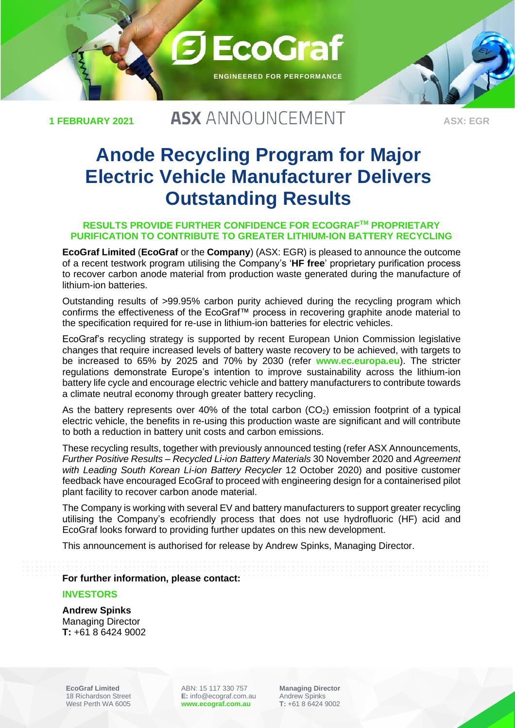**1 FEBRUARY 2021**

# **ASX ANNOUNCEMENT**

**3 EcoGraf** 

**ENGINEERED FOR PERFORMANCE**

**ASX: EGR**

# **Anode Recycling Program for Major Electric Vehicle Manufacturer Delivers Outstanding Results**

#### **RESULTS PROVIDE FURTHER CONFIDENCE FOR ECOGRAFTM PROPRIETARY PURIFICATION TO CONTRIBUTE TO GREATER LITHIUM-ION BATTERY RECYCLING**

**EcoGraf Limited** (**EcoGraf** or the **Company**) (ASX: EGR) is pleased to announce the outcome of a recent testwork program utilising the Company's '**HF free**' proprietary purification process to recover carbon anode material from production waste generated during the manufacture of lithium-ion batteries.

Outstanding results of >99.95% carbon purity achieved during the recycling program which confirms the effectiveness of the EcoGraf™ process in recovering graphite anode material to the specification required for re-use in lithium-ion batteries for electric vehicles.

EcoGraf's recycling strategy is supported by recent European Union Commission legislative changes that require increased levels of battery waste recovery to be achieved, with targets to be increased to 65% by 2025 and 70% by 2030 (refer **[www.ec.europa.eu](http://www.ec.europa.eu/)**). The stricter regulations demonstrate Europe's intention to improve sustainability across the lithium-ion battery life cycle and encourage electric vehicle and battery manufacturers to contribute towards a climate neutral economy through greater battery recycling.

As the battery represents over 40% of the total carbon  $(CO<sub>2</sub>)$  emission footprint of a typical electric vehicle, the benefits in re-using this production waste are significant and will contribute to both a reduction in battery unit costs and carbon emissions.

These recycling results, together with previously announced testing (refer ASX Announcements, *Further Positive Results – Recycled Li-ion Battery Materials* 30 November 2020 and *Agreement with Leading South Korean Li-ion Battery Recycler* 12 October 2020) and positive customer feedback have encouraged EcoGraf to proceed with engineering design for a containerised pilot plant facility to recover carbon anode material.

The Company is working with several EV and battery manufacturers to support greater recycling utilising the Company's ecofriendly process that does not use hydrofluoric (HF) acid and EcoGraf looks forward to providing further updates on this new development.

This announcement is authorised for release by Andrew Spinks, Managing Director.

**For further information, please contact:**

#### **INVESTORS**

**Andrew Spinks**  Managing Director **T:** +61 8 6424 9002

**EcoGraf Limited** 18 Richardson Street West Perth WA 6005

ABN: 15 117 330 757 **E:** info@ecograf.com.au **[www.ecograf.com.au](http://www.ecograf.com.au/)**

**Managing Director** Andrew Spinks **T:** +61 8 6424 9002